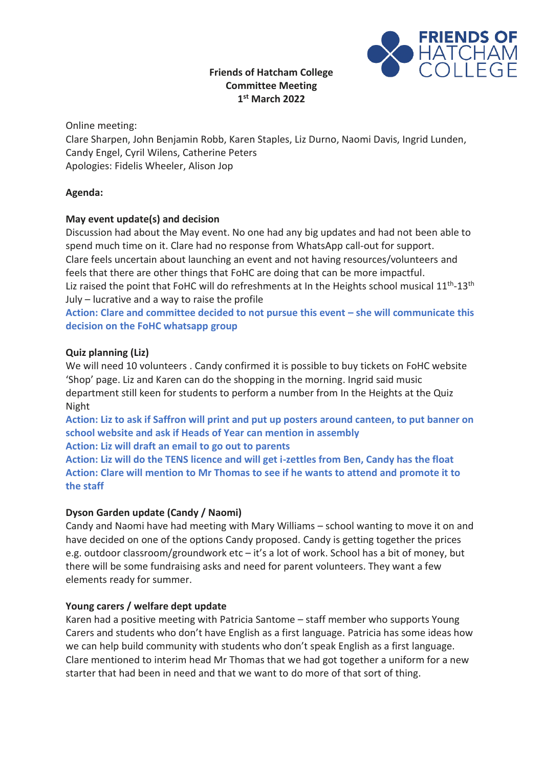# **Friends of Hatcham College Committee Meeting 1 st March 2022**



Online meeting:

Clare Sharpen, John Benjamin Robb, Karen Staples, Liz Durno, Naomi Davis, Ingrid Lunden, Candy Engel, Cyril Wilens, Catherine Peters Apologies: Fidelis Wheeler, Alison Jop

## **Agenda:**

## **May event update(s) and decision**

Discussion had about the May event. No one had any big updates and had not been able to spend much time on it. Clare had no response from WhatsApp call-out for support. Clare feels uncertain about launching an event and not having resources/volunteers and feels that there are other things that FoHC are doing that can be more impactful. Liz raised the point that FoHC will do refreshments at In the Heights school musical 11<sup>th</sup>-13<sup>th</sup> July – lucrative and a way to raise the profile

Action: Clare and committee decided to not pursue this event – she will communicate this **decision on the FoHC whatsapp group**

## **Quiz planning (Liz)**

We will need 10 volunteers . Candy confirmed it is possible to buy tickets on FoHC website 'Shop' page. Liz and Karen can do the shopping in the morning. Ingrid said music department still keen for students to perform a number from In the Heights at the Quiz Night

**Action: Liz to ask if Saffron will print and put up posters around canteen, to put banner on school website and ask if Heads of Year can mention in assembly Action: Liz will draft an email to go out to parents**

**Action: Liz will do the TENS licence and will get i-zettles from Ben, Candy has the float Action: Clare will mention to Mr Thomas to see if he wants to attend and promote it to** 

**the staff**

# **Dyson Garden update (Candy / Naomi)**

Candy and Naomi have had meeting with Mary Williams – school wanting to move it on and have decided on one of the options Candy proposed. Candy is getting together the prices e.g. outdoor classroom/groundwork etc – it's a lot of work. School has a bit of money, but there will be some fundraising asks and need for parent volunteers. They want a few elements ready for summer.

### **Young carers / welfare dept update**

Karen had a positive meeting with Patricia Santome – staff member who supports Young Carers and students who don't have English as a first language. Patricia has some ideas how we can help build community with students who don't speak English as a first language. Clare mentioned to interim head Mr Thomas that we had got together a uniform for a new starter that had been in need and that we want to do more of that sort of thing.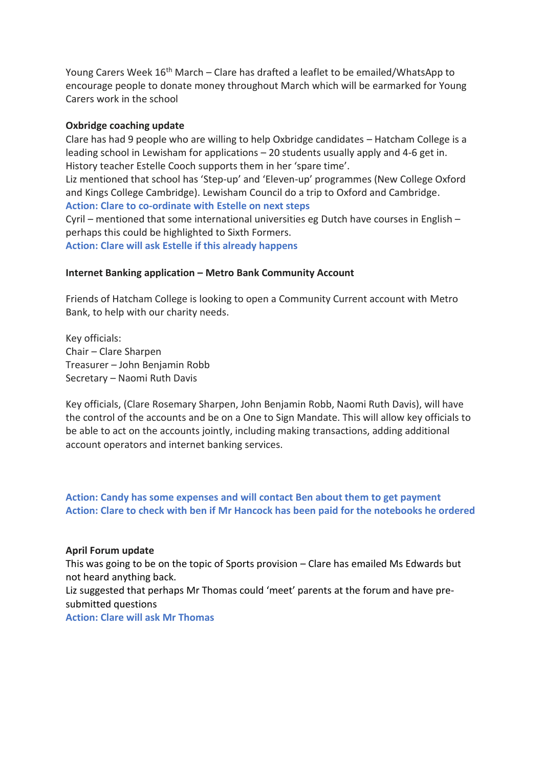Young Carers Week 16<sup>th</sup> March – Clare has drafted a leaflet to be emailed/WhatsApp to encourage people to donate money throughout March which will be earmarked for Young Carers work in the school

#### **Oxbridge coaching update**

Clare has had 9 people who are willing to help Oxbridge candidates – Hatcham College is a leading school in Lewisham for applications – 20 students usually apply and 4-6 get in. History teacher Estelle Cooch supports them in her 'spare time'.

Liz mentioned that school has 'Step-up' and 'Eleven-up' programmes (New College Oxford and Kings College Cambridge). Lewisham Council do a trip to Oxford and Cambridge.

**Action: Clare to co-ordinate with Estelle on next steps** Cyril – mentioned that some international universities eg Dutch have courses in English – perhaps this could be highlighted to Sixth Formers. **Action: Clare will ask Estelle if this already happens**

#### **Internet Banking application – Metro Bank Community Account**

Friends of Hatcham College is looking to open a Community Current account with Metro Bank, to help with our charity needs.

Key officials: Chair – Clare Sharpen Treasurer – John Benjamin Robb Secretary – Naomi Ruth Davis

Key officials, (Clare Rosemary Sharpen, John Benjamin Robb, Naomi Ruth Davis), will have the control of the accounts and be on a One to Sign Mandate. This will allow key officials to be able to act on the accounts jointly, including making transactions, adding additional account operators and internet banking services.

**Action: Candy has some expenses and will contact Ben about them to get payment Action: Clare to check with ben if Mr Hancock has been paid for the notebooks he ordered**

#### **April Forum update**

This was going to be on the topic of Sports provision – Clare has emailed Ms Edwards but not heard anything back.

Liz suggested that perhaps Mr Thomas could 'meet' parents at the forum and have presubmitted questions

**Action: Clare will ask Mr Thomas**